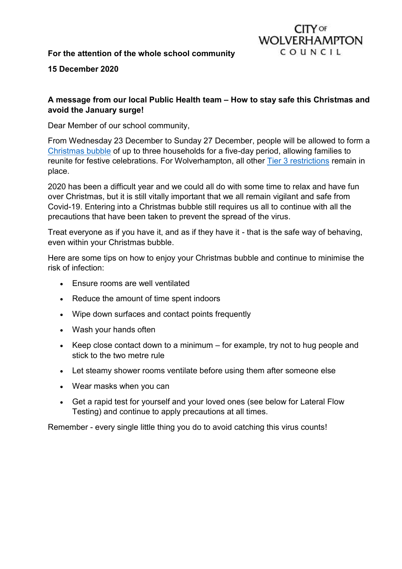## **For the attention of the whole school community**



**15 December 2020**

## **A message from our local Public Health team – How to stay safe this Christmas and avoid the January surge!**

Dear Member of our school community,

From Wednesday 23 December to Sunday 27 December, people will be allowed to form a [Christmas bubble](https://www.gov.uk/government/publications/making-a-christmas-bubble-with-friends-and-family/making-a-christmas-bubble-with-friends-and-family) of up to three households for a five-day period, allowing families to reunite for festive celebrations. For Wolverhampton, all other [Tier 3 restrictions](https://www.gov.uk/guidance/tier-3-very-high-alert) remain in place.

2020 has been a difficult year and we could all do with some time to relax and have fun over Christmas, but it is still vitally important that we all remain vigilant and safe from Covid-19. Entering into a Christmas bubble still requires us all to continue with all the precautions that have been taken to prevent the spread of the virus.

Treat everyone as if you have it, and as if they have it - that is the safe way of behaving, even within your Christmas bubble.

Here are some tips on how to enjoy your Christmas bubble and continue to minimise the risk of infection:

- Ensure rooms are well ventilated
- Reduce the amount of time spent indoors
- Wipe down surfaces and contact points frequently
- Wash your hands often
- Keep close contact down to a minimum for example, try not to hug people and stick to the two metre rule
- Let steamy shower rooms ventilate before using them after someone else
- Wear masks when you can
- Get a rapid test for yourself and your loved ones (see below for Lateral Flow Testing) and continue to apply precautions at all times.

Remember - every single little thing you do to avoid catching this virus counts!